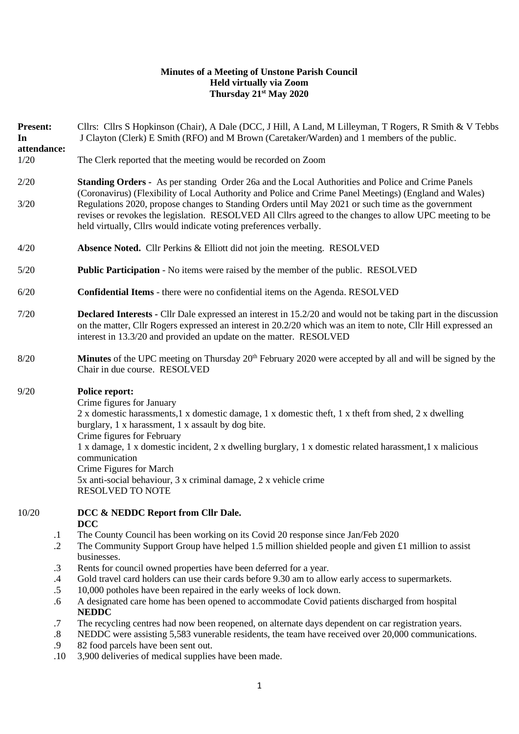## **Minutes of a Meeting of Unstone Parish Council Held virtually via Zoom Thursday 21st May 2020**

| <b>Present:</b><br>In<br>attendance: | Cllrs: Cllrs S Hopkinson (Chair), A Dale (DCC, J Hill, A Land, M Lilleyman, T Rogers, R Smith & V Tebbs<br>J Clayton (Clerk) E Smith (RFO) and M Brown (Caretaker/Warden) and 1 members of the public.<br>The Clerk reported that the meeting would be recorded on Zoom                                                                                                                                                                                                                               |  |  |  |  |  |
|--------------------------------------|-------------------------------------------------------------------------------------------------------------------------------------------------------------------------------------------------------------------------------------------------------------------------------------------------------------------------------------------------------------------------------------------------------------------------------------------------------------------------------------------------------|--|--|--|--|--|
| 1/20                                 |                                                                                                                                                                                                                                                                                                                                                                                                                                                                                                       |  |  |  |  |  |
| 2/20                                 | <b>Standing Orders -</b> As per standing Order 26a and the Local Authorities and Police and Crime Panels<br>(Coronavirus) (Flexibility of Local Authority and Police and Crime Panel Meetings) (England and Wales)                                                                                                                                                                                                                                                                                    |  |  |  |  |  |
| 3/20                                 | Regulations 2020, propose changes to Standing Orders until May 2021 or such time as the government<br>revises or revokes the legislation. RESOLVED All Cllrs agreed to the changes to allow UPC meeting to be<br>held virtually, Cllrs would indicate voting preferences verbally.                                                                                                                                                                                                                    |  |  |  |  |  |
| 4/20                                 | Absence Noted. Cllr Perkins & Elliott did not join the meeting. RESOLVED                                                                                                                                                                                                                                                                                                                                                                                                                              |  |  |  |  |  |
| $5/20$                               | <b>Public Participation</b> - No items were raised by the member of the public. RESOLVED                                                                                                                                                                                                                                                                                                                                                                                                              |  |  |  |  |  |
| 6/20                                 | <b>Confidential Items</b> - there were no confidential items on the Agenda. RESOLVED                                                                                                                                                                                                                                                                                                                                                                                                                  |  |  |  |  |  |
| 7/20                                 | <b>Declared Interests</b> - Cllr Dale expressed an interest in 15.2/20 and would not be taking part in the discussion<br>on the matter, Cllr Rogers expressed an interest in 20.2/20 which was an item to note, Cllr Hill expressed an<br>interest in 13.3/20 and provided an update on the matter. RESOLVED                                                                                                                                                                                          |  |  |  |  |  |
| 8/20                                 | <b>Minutes</b> of the UPC meeting on Thursday $20th$ February 2020 were accepted by all and will be signed by the<br>Chair in due course. RESOLVED                                                                                                                                                                                                                                                                                                                                                    |  |  |  |  |  |
| 9/20                                 | <b>Police report:</b><br>Crime figures for January<br>2 x domestic harassments, 1 x domestic damage, 1 x domestic theft, 1 x theft from shed, 2 x dwelling<br>burglary, 1 x harassment, 1 x assault by dog bite.<br>Crime figures for February<br>1 x damage, 1 x domestic incident, 2 x dwelling burglary, 1 x domestic related harassment, 1 x malicious<br>communication<br>Crime Figures for March<br>5x anti-social behaviour, 3 x criminal damage, 2 x vehicle crime<br><b>RESOLVED TO NOTE</b> |  |  |  |  |  |
| 10/20                                | DCC & NEDDC Report from Cllr Dale.<br><b>DCC</b>                                                                                                                                                                                                                                                                                                                                                                                                                                                      |  |  |  |  |  |
| $\cdot$                              | The County Council has been working on its Covid 20 response since Jan/Feb 2020                                                                                                                                                                                                                                                                                                                                                                                                                       |  |  |  |  |  |
| $\cdot$ .2                           | The Community Support Group have helped 1.5 million shielded people and given £1 million to assist<br>businesses.                                                                                                                                                                                                                                                                                                                                                                                     |  |  |  |  |  |
| $\cdot$ 3                            | Rents for council owned properties have been deferred for a year.                                                                                                                                                                                                                                                                                                                                                                                                                                     |  |  |  |  |  |
| $\cdot$ 4                            | Gold travel card holders can use their cards before 9.30 am to allow early access to supermarkets.                                                                                                                                                                                                                                                                                                                                                                                                    |  |  |  |  |  |
| $.5\,$                               | 10,000 potholes have been repaired in the early weeks of lock down.                                                                                                                                                                                                                                                                                                                                                                                                                                   |  |  |  |  |  |
| .6                                   | A designated care home has been opened to accommodate Covid patients discharged from hospital<br><b>NEDDC</b>                                                                                                                                                                                                                                                                                                                                                                                         |  |  |  |  |  |
| .7                                   | The recycling centres had now been reopened, on alternate days dependent on car registration years.                                                                                                                                                                                                                                                                                                                                                                                                   |  |  |  |  |  |
| $\boldsymbol{.8}$                    | NEDDC were assisting 5,583 vunerable residents, the team have received over 20,000 communications.                                                                                                                                                                                                                                                                                                                                                                                                    |  |  |  |  |  |
| .9                                   | 82 food parcels have been sent out.<br>delivering of modical constitutions on home.<br>1 <sub>0</sub>                                                                                                                                                                                                                                                                                                                                                                                                 |  |  |  |  |  |

.10 3,900 deliveries of medical supplies have been made.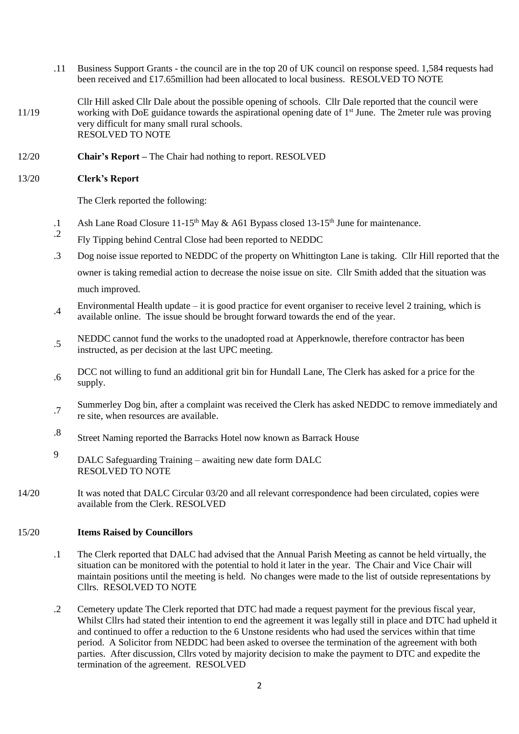- .11 Business Support Grants the council are in the top 20 of UK council on response speed. 1,584 requests had been received and £17.65million had been allocated to local business. RESOLVED TO NOTE
- 11/19 Cllr Hill asked Cllr Dale about the possible opening of schools. Cllr Dale reported that the council were working with DoE guidance towards the aspirational opening date of 1<sup>st</sup> June. The 2meter rule was proving very difficult for many small rural schools. RESOLVED TO NOTE
- 12/20 **Chair's Report –** The Chair had nothing to report. RESOLVED

#### 13/20 **Clerk's Report**

The Clerk reported the following:

- .1 Ash Lane Road Closure 11-15<sup>th</sup> May & A61 Bypass closed 13-15<sup>th</sup> June for maintenance.
- .2 Fly Tipping behind Central Close had been reported to NEDDC
- .3 Dog noise issue reported to NEDDC of the property on Whittington Lane is taking. Cllr Hill reported that the owner is taking remedial action to decrease the noise issue on site. Cllr Smith added that the situation was much improved.
- .4 Environmental Health update – it is good practice for event organiser to receive level 2 training, which is available online. The issue should be brought forward towards the end of the year.
- .5 NEDDC cannot fund the works to the unadopted road at Apperknowle, therefore contractor has been instructed, as per decision at the last UPC meeting.
- .6 DCC not willing to fund an additional grit bin for Hundall Lane, The Clerk has asked for a price for the supply.
- .7 Summerley Dog bin, after a complaint was received the Clerk has asked NEDDC to remove immediately and re site, when resources are available.
- .8 Street Naming reported the Barracks Hotel now known as Barrack House
- 9 DALC Safeguarding Training – awaiting new date form DALC RESOLVED TO NOTE
- 14/20 It was noted that DALC Circular 03/20 and all relevant correspondence had been circulated, copies were available from the Clerk. RESOLVED

### 15/20 **Items Raised by Councillors**

- .1 The Clerk reported that DALC had advised that the Annual Parish Meeting as cannot be held virtually, the situation can be monitored with the potential to hold it later in the year. The Chair and Vice Chair will maintain positions until the meeting is held. No changes were made to the list of outside representations by Cllrs. RESOLVED TO NOTE
- .2 Cemetery update The Clerk reported that DTC had made a request payment for the previous fiscal year, Whilst Cllrs had stated their intention to end the agreement it was legally still in place and DTC had upheld it and continued to offer a reduction to the 6 Unstone residents who had used the services within that time period. A Solicitor from NEDDC had been asked to oversee the termination of the agreement with both parties. After discussion, Cllrs voted by majority decision to make the payment to DTC and expedite the termination of the agreement. RESOLVED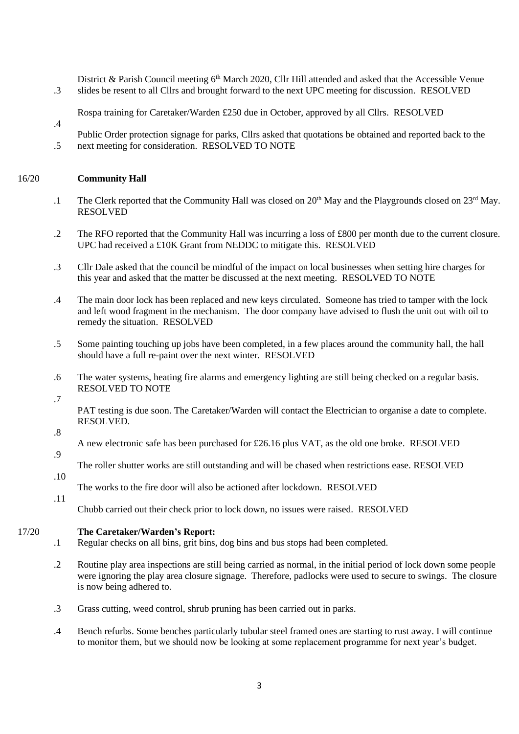.3 District & Parish Council meeting  $6<sup>th</sup>$  March 2020, Cllr Hill attended and asked that the Accessible Venue slides be resent to all Cllrs and brought forward to the next UPC meeting for discussion. RESOLVED

Rospa training for Caretaker/Warden £250 due in October, approved by all Cllrs. RESOLVED

.5 Public Order protection signage for parks, Cllrs asked that quotations be obtained and reported back to the next meeting for consideration. RESOLVED TO NOTE

#### 16/20 **Community Hall**

.4

- .1 The Clerk reported that the Community Hall was closed on 20<sup>th</sup> May and the Playgrounds closed on 23<sup>rd</sup> May. RESOLVED
- .2 The RFO reported that the Community Hall was incurring a loss of £800 per month due to the current closure. UPC had received a £10K Grant from NEDDC to mitigate this. RESOLVED
- .3 Cllr Dale asked that the council be mindful of the impact on local businesses when setting hire charges for this year and asked that the matter be discussed at the next meeting. RESOLVED TO NOTE
- .4 The main door lock has been replaced and new keys circulated. Someone has tried to tamper with the lock and left wood fragment in the mechanism. The door company have advised to flush the unit out with oil to remedy the situation. RESOLVED
- .5 Some painting touching up jobs have been completed, in a few places around the community hall, the hall should have a full re-paint over the next winter. RESOLVED
- .6 The water systems, heating fire alarms and emergency lighting are still being checked on a regular basis. RESOLVED TO NOTE
- .7

PAT testing is due soon. The Caretaker/Warden will contact the Electrician to organise a date to complete. RESOLVED.

### .8

.9 A new electronic safe has been purchased for £26.16 plus VAT, as the old one broke. RESOLVED

The roller shutter works are still outstanding and will be chased when restrictions ease. RESOLVED

.10

The works to the fire door will also be actioned after lockdown. RESOLVED

.11

Chubb carried out their check prior to lock down, no issues were raised. RESOLVED

#### 17/20 **The Caretaker/Warden's Report:**

- .1 Regular checks on all bins, grit bins, dog bins and bus stops had been completed.
- .2 Routine play area inspections are still being carried as normal, in the initial period of lock down some people were ignoring the play area closure signage. Therefore, padlocks were used to secure to swings. The closure is now being adhered to.
- .3 Grass cutting, weed control, shrub pruning has been carried out in parks.
- .4 Bench refurbs. Some benches particularly tubular steel framed ones are starting to rust away. I will continue to monitor them, but we should now be looking at some replacement programme for next year's budget.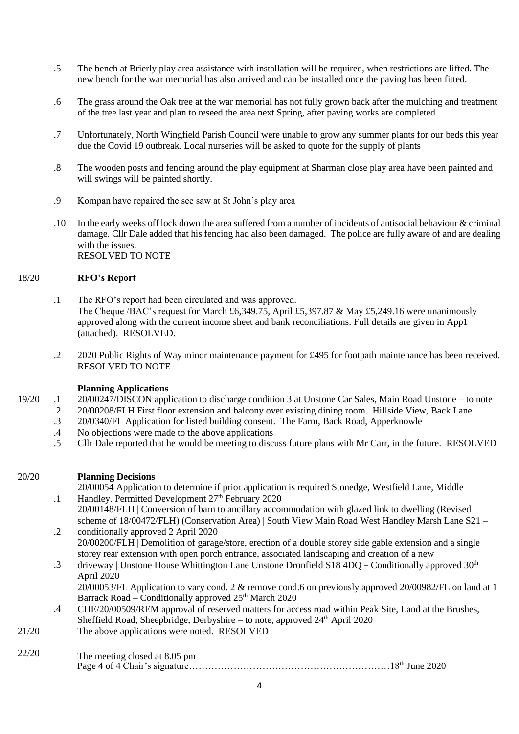- .5 The bench at Brierly play area assistance with installation will be required, when restrictions are lifted. The new bench for the war memorial has also arrived and can be installed once the paving has been fitted.
- .6 The grass around the Oak tree at the war memorial has not fully grown back after the mulching and treatment of the tree last year and plan to reseed the area next Spring, after paving works are completed
- .7 Unfortunately, North Wingfield Parish Council were unable to grow any summer plants for our beds this year due the Covid 19 outbreak. Local nurseries will be asked to quote for the supply of plants
- .8 The wooden posts and fencing around the play equipment at Sharman close play area have been painted and will swings will be painted shortly.
- .9 Kompan have repaired the see saw at St John's play area
- .10 In the early weeks off lock down the area suffered from a number of incidents of antisocial behaviour & criminal damage. Cllr Dale added that his fencing had also been damaged. The police are fully aware of and are dealing with the issues. RESOLVED TO NOTE

### 18/20 **RFO's Report**

- .1 The RFO's report had been circulated and was approved. The Cheque */BAC's* request for March £6,349.75, April £5,397.87 & May £5,249.16 were unanimously approved along with the current income sheet and bank reconciliations. Full details are given in App1 (attached). RESOLVED.
- .2 2020 Public Rights of Way minor maintenance payment for £495 for footpath maintenance has been received. RESOLVED TO NOTE

### **Planning Applications**

- 19/20 .1 20/00247/DISCON application to discharge condition 3 at Unstone Car Sales, Main Road Unstone – to note
	- .2 20/00208/FLH First floor extension and balcony over existing dining room. Hillside View, Back Lane
	- .3 20/0340/FL Application for listed building consent. The Farm, Back Road, Apperknowle
	- .4 No objections were made to the above applications
	- .5 Cllr Dale reported that he would be meeting to discuss future plans with Mr Carr, in the future. RESOLVED

#### 20/20 **Planning Decisions**

.1 20/00054 Application to determine if prior application is required Stonedge, Westfield Lane, Middle Handley. Permitted Development 27<sup>th</sup> February 2020

- .2 20/00148/FLH | Conversion of barn to ancillary accommodation with glazed link to dwelling (Revised scheme of 18/00472/FLH) (Conservation Area) | South View Main Road West Handley Marsh Lane S21 – conditionally approved 2 April 2020
	- 20/00200/FLH | Demolition of garage/store, erection of a double storey side gable extension and a single storey rear extension with open porch entrance, associated landscaping and creation of a new
- .3 driveway | Unstone House Whittington Lane Unstone Dronfield S18 4DQ – Conditionally approved 30<sup>th</sup> April 2020

20/00053/FL Application to vary cond. 2 & remove cond.6 on previously approved 20/00982/FL on land at 1 Barrack Road – Conditionally approved  $25<sup>th</sup>$  March 2020

- .4 CHE/20/00509/REM approval of reserved matters for access road within Peak Site, Land at the Brushes, Sheffield Road, Sheepbridge, Derbyshire – to note, approved 24<sup>th</sup> April 2020
- 21/20 The above applications were noted. RESOLVED

# Page 4 of 4 Chair's signature………………………………………………………18th June 2020 22/20 The meeting closed at 8.05 pm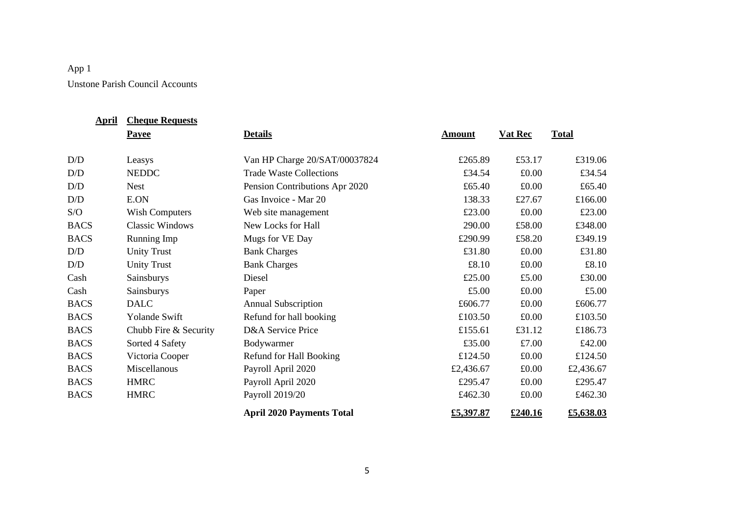# App 1 Unstone Parish Council Accounts

| <b>April</b> | <b>Cheque Requests</b> |                                  |               |                |              |
|--------------|------------------------|----------------------------------|---------------|----------------|--------------|
|              | <b>Payee</b>           | <b>Details</b>                   | <b>Amount</b> | <b>Vat Rec</b> | <b>Total</b> |
|              |                        |                                  |               |                |              |
| D/D          | Leasys                 | Van HP Charge 20/SAT/00037824    | £265.89       | £53.17         | £319.06      |
| D/D          | <b>NEDDC</b>           | <b>Trade Waste Collections</b>   | £34.54        | £0.00          | £34.54       |
| D/D          | <b>Nest</b>            | Pension Contributions Apr 2020   | £65.40        | £0.00          | £65.40       |
| D/D          | E.ON                   | Gas Invoice - Mar 20             | 138.33        | £27.67         | £166.00      |
| S/O          | <b>Wish Computers</b>  | Web site management              | £23.00        | £0.00          | £23.00       |
| <b>BACS</b>  | <b>Classic Windows</b> | New Locks for Hall               | 290.00        | £58.00         | £348.00      |
| <b>BACS</b>  | Running Imp            | Mugs for VE Day                  | £290.99       | £58.20         | £349.19      |
| D/D          | <b>Unity Trust</b>     | <b>Bank Charges</b>              | £31.80        | £0.00          | £31.80       |
| D/D          | <b>Unity Trust</b>     | <b>Bank Charges</b>              | £8.10         | £0.00          | £8.10        |
| Cash         | Sainsburys             | Diesel                           | £25.00        | £5.00          | £30.00       |
| Cash         | Sainsburys             | Paper                            | £5.00         | £0.00          | £5.00        |
| <b>BACS</b>  | <b>DALC</b>            | <b>Annual Subscription</b>       | £606.77       | £0.00          | £606.77      |
| <b>BACS</b>  | Yolande Swift          | Refund for hall booking          | £103.50       | £0.00          | £103.50      |
| <b>BACS</b>  | Chubb Fire & Security  | D&A Service Price                | £155.61       | £31.12         | £186.73      |
| <b>BACS</b>  | Sorted 4 Safety        | Bodywarmer                       | £35.00        | £7.00          | £42.00       |
| <b>BACS</b>  | Victoria Cooper        | Refund for Hall Booking          | £124.50       | £0.00          | £124.50      |
| <b>BACS</b>  | Miscellanous           | Payroll April 2020               | £2,436.67     | £0.00          | £2,436.67    |
| <b>BACS</b>  | <b>HMRC</b>            | Payroll April 2020               | £295.47       | £0.00          | £295.47      |
| <b>BACS</b>  | <b>HMRC</b>            | Payroll 2019/20                  | £462.30       | £0.00          | £462.30      |
|              |                        | <b>April 2020 Payments Total</b> | £5,397.87     | £240.16        | £5,638.03    |